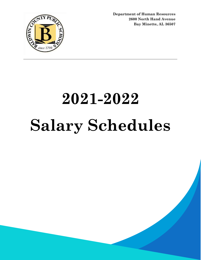

**Department of Human Resources 2600 North Hand Avenue Bay Minette, AL 36507**

# **2021-2022 Salary Schedules**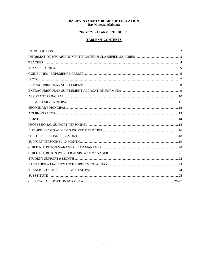#### **BALDWIN COUNTY BOARD OF EDUCATION** Bay Minette, Alabama

## 2021-2022 SALARY SCHEDULES

## **TABLE OF CONTENTS**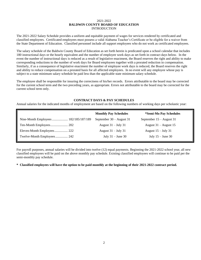#### 2021-2022 **BALDWIN COUNTY BOARD OF EDUCATION** INTRODUCTION

The 2021-2022 Salary Schedule provides a uniform and equitable payment of wages for services rendered by certificated and classified employees. Certificated employees must possess a valid Alabama Teacher's Certificate or be eligible for a waiver from the State Department of Education. Classified personnel include all support employees who do not work as certificated employees.

The salary schedule of the Baldwin County Board of Education as set forth herein is predicated upon a school calendar that includes 180 instructional days or the hourly equivalent and the number of employee work days as set forth in contract days below. In the event the number of instructional days is reduced as a result of legislative enactment, the Board reserves the right and ability to make corresponding reductions to the number of work days for Board employees together with a prorated reduction in compensation. Similarly, if as a consequence of legislative enactment the number of employee work days is reduced, the Board reserves the right and ability to reduce compensation on a prorated basis for all affected employees. In no event will any employee whose pay is subject to a state minimum salary schedule be paid less than the applicable state minimum salary schedule.

The employee shall be responsible for insuring the correctness of his/her records. Errors attributable to the board may be corrected for the current school term and the two preceding years, as appropriate. Errors not attributable to the board may be corrected for the current school term only.

#### **CONTRACT DAYS & PAY SCHEDULES**

Annual salaries for the indicated months of employment are based on the following numbers of working days per scholastic year:

|                                       | <b>Monthly Pay Schedules</b> | *Semi-Mo Pay Schedules     |
|---------------------------------------|------------------------------|----------------------------|
| Nine-Month Employees  182/185/187/189 | September $30 -$ August 31   | September $15 -$ August 31 |
|                                       | August $31 - July 31$        | August $31 -$ August 15    |
| Eleven-Month Employees 222            | August $31 -$ July 31        | August $15 -$ July 31      |
| Twelve-Month Employees 242            | July $31 -$ June 30          | July $15 -$ June 30        |

For payroll purposes, annual salaries will be divided into twelve (12) equal payments. Beginning the 2021-2022 school year, all new classified employees will be paid on the above monthly pay schedule. Existing classified employees will continue to be paid per the semi-monthly pay schedule.

**\* Classified employees will have the option to be paid monthly at the beginning of their 2021-2022 contract period.**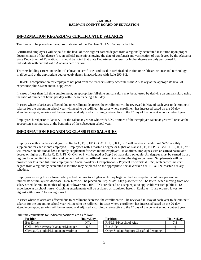#### **2021-2022 BALDWIN COUNTY BOARD OF EDUCATION**

#### **INFORMATION REGARDING CERTIFICATED SALARIES**

Teachers will be placed on the appropriate step of the Teachers/TEAMS Salary Schedule.

Certificated employees will be paid at the level of their highest earned degree from a regionally accredited institution upon proper documentation of that degree (i.e. an **official** transcript showing the date of conferral) and verification of that degree by the Alabama State Department of Education. It should be noted that State Department reviews for higher degree are only performed for individuals with current valid Alabama certification.

Teachers holding career and technical education certificates endorsed in technical education or healthcare science and technology shall be paid at the appropriate degree equivalency in accordance with Rule 290-3-2.

EDD/PHD compensation for employees not paid from the teacher's salary schedule is the AA salary at the appropriate level of experience plus \$4,059 annual supplement.

In cases of less than full time employment, an appropriate full-time annual salary may be adjusted by deriving an annual salary using the ratio of number of hours per day with 6.5 hours being a full day.

In cases where salaries are affected due to enrollment decrease, the enrollment will be reviewed in May of each year to determine if salaries for the upcoming school year will need to be redlined. In cases where enrollment has increased based on the 20-day attendance report, salaries will be reviewed and adjusted accordingly retroactive to the 1<sup>st</sup> day of the current school contract year.

Employees hired prior to January 1 of the calendar year or who work 50% or more of their employee calendar year will receive the appropriate step increase at the beginning of the subsequent school year.

#### **INFORMATION REGARDING CLASSIFIED SALARIES**

Employees with a bachelor's degree on Ranks C, E, F, FP, G, GM, H, I, J, K L, or P will receive an additional \$222 monthly supplement for each month employed. Employees with a master's degree or higher on Ranks C, E, F, FP, G, GM, H, I, J, K, L, or P will receive an additional \$242 monthly supplement for each month employed. In addition, employees with an earned bachelor's degree or higher on Ranks C, E, F, FP, G, GM, or P will be paid at Step 6 of that salary schedule. All degrees must be earned from a regionally accredited institution and be verified with an **official** transcript reflecting the degree conferral. Supplements will be prorated for less than full time employment. Social Workers, Occupational & Physical Therapists & RNs, with earned master's degree from a regionally accredited institution may be placed on the appropriate Social Worker, OT, PT & RN, Master's salary schedule.

Employees moving from a lower salary schedule rank to a higher rank may begin at the first step that would not present an immediate within system decrease. New hires will be placed on Step NEW. Step placement will be lateral when moving from one salary schedule rank to another of equal or lower rank. RN/LPNs are placed on a step equal to applicable verified public K-12 experience as a school nurse. Coaching supplements will be assigned as stipulated herein. Ranks  $A - L$  are ordered lowest to highest with Rank P following Rank H.

In cases where salaries are affected due to enrollment decrease, the enrollment will be reviewed in May of each year to determine if salaries for the upcoming school year will need to be redlined. In cases where enrollment has increased based on the 20-day attendance report, salaries will be reviewed and adjusted accordingly retroactive to the 1st day of the current school contract year.

Full time equivalents for indicated positions are as follows:

| Position                             | Hours/Dav | Position                                          | <b>Hours/Day</b> |
|--------------------------------------|-----------|---------------------------------------------------|------------------|
| <b>Bus Driver</b>                    | N/A       | RN/LPN/Preschool Aide                             | 74<br>ا          |
| $CNP - Worker/Asst Manager/Manager$  | 6.5       | Bus Aide                                          |                  |
| Clerical/Custodial/Maintenance/Admin |           | <b>Other Student Support Classified Personnel</b> |                  |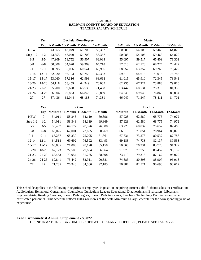#### 2021-2022 **BALDWIN COUNTY BOARD OF EDUCATION** TEACHER SALARY SCHEDULE

|            | Yrs            |        |        | <b>Bachelor/Non-Degree</b>         |        |         |          | <b>Master</b>     |          |
|------------|----------------|--------|--------|------------------------------------|--------|---------|----------|-------------------|----------|
|            | Exp            |        |        | 9-Month 10-Month 11-Month 12-Month |        | 9-Month |          | 10-Month 11-Month | 12-Month |
| <b>NEW</b> | $\Omega$       | 43,555 | 47,049 | 51,708                             | 56,367 | 50,088  | 54,106   | 59,463            | 64,820   |
| Step 1-2   | $1-2$          | 43,555 | 47,049 | 51,708                             | 56,367 | 50,088  | 54,106   | 59,463            | 64,820   |
| $3 - 5$    | $3 - 5$        | 47,909 | 51,752 | 56,907                             | 62,034 | 55,097  | 59,517   | 65,409            | 71,301   |
| $6 - 8$    | $6 - 8$        | 50,008 | 54,020 | 59,369                             | 64,718 | 57,510  | 62,123   | 68,274            | 74,422   |
| $9 - 11$   | $9-11$         | 50,995 | 55,086 | 60,541                             | 65,996 | 58,652  | 63,357   | 69,269            | 75,422   |
| $12 - 14$  | $12 - 14$      | 52,020 | 56,193 | 61,758                             | 67,332 | 59,819  | 64,618   | 71,015            | 76,788   |
| $15 - 17$  | $15 - 17$      | 53,060 | 57,316 | 62,993                             | 68,668 | 61,015  | 65,910   | 72,345            | 78,543   |
| 18-20      | 18-20          | 54,118 | 58,459 | 64,249                             | 70,037 | 62,235  | 67,227   | 73,883            | 79,810   |
| $21 - 23$  | 21-23          | 55,200 | 59,628 | 65,533                             | 71,438 | 63,442  | 68,531   | 75,316            | 81,358   |
| $24 - 26$  | $24 - 26$      | 56,306 | 60,823 | 66,846                             | 72,869 | 64,749  | 69,943   | 76,868            | 83,034   |
| 27         | 27             | 57,436 | 62,044 | 68,188                             | 74,331 | 66,049  | 71,347   | 78,411            | 84,701   |
|            |                |        |        |                                    |        |         |          |                   |          |
|            | <b>Yrs</b>     |        |        | 6-Year                             |        |         |          | <b>Doctoral</b>   |          |
|            | Exp            |        |        | 9-Month 10-Month 11-Month 12-Month |        | 9-Month | 10-Month | 11-Month          | 12-Month |
| <b>NEW</b> | $\overline{0}$ | 54,011 | 58,343 | 64,119                             | 69,896 | 57,928  | 62,580   | 68,775            | 74,972   |
| Step 1-2   | $1-2$          | 54,011 | 58,343 | 64,119                             | 69,869 | 57,928  | 62,580   | 68,775            | 74,972   |
| $3 - 5$    | $3 - 5$        | 59,407 | 64,172 | 70,526                             | 76,880 | 63,720  | 68,837   | 75,652            | 82,468   |
| $6 - 8$    | $6 - 8$        | 62,025 | 67,001 | 73,635                             | 80,269 | 66,510  | 71,851   | 78,964            | 86,079   |

9-11 9-11 63,257 68,330 75,095 81,861 67,831 73,278 80,532 87,788 12-14 12-14 64,518 69,692 76,592 83,493 69,183 74,738 82,137 89,538 15-17 15-17 65,805 71,083 78,120 85,158 70,565 76,231 83,778 91,327 18-20 18-20 67,123 72,506 79,684 86,864 71,975 77,755 85,452 93,152 21-23 21-23 68,463 73,954 81,275 88,598 73,419 79,315 87,167 95,020 24-26 24-26 69,841 75,442 82,911 90,381 74,885 80,898 88,907 96,918 27 27 71,235 76,948 84,566 92,185 76,387 82,521 90,690 98,612

This schedule applies to the following categories of employees in positions requiring current valid Alabama educator certification: Audiologists; Behavioral Consultants; Counselors; Curriculum Leader; Educational Diagnosticians; Evaluators; Librarians; Psychometrists; Reading Coaches; Speech Pathologists; Speech Path Assistants; Teachers; Technology Facilitators and other certificated personnel. This schedule reflects 100% (or more) of the State Minimum Salary Schedule for the corresponding years of experience.

#### **Lead Psychometrist Annual Supplement - \$3,822**

FOR INFORMATION REGARDING CERTIFICATED SALARY SCHEDULES, PLEASE SEE PAGES 2 & 3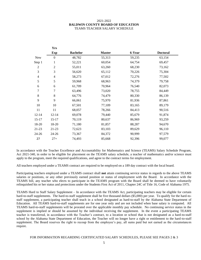#### 2021-2022 **BALDWIN COUNTY BOARD OF EDUCATION** TEAMS TEACHER SALARY SCHEDULE

**Yrs**

|                | 119            |                 |               |        |                 |
|----------------|----------------|-----------------|---------------|--------|-----------------|
|                | <b>Exp</b>     | <b>Bachelor</b> | <b>Master</b> | 6-Year | <b>Doctoral</b> |
| <b>New</b>     | $\theta$       | 48,782          | 55,313        | 59,235 | 63,154          |
| Step 1         | 1              | 52,221          | 60,054        | 64,754 | 69,457          |
| $\overline{2}$ | $\overline{2}$ | 55,011          | 63,260        | 68,230 | 73,162          |
| 3              | 3              | 56,620          | 65,112        | 70,226 | 75,304          |
| $\overline{4}$ | $\overline{4}$ | 58,273          | 67,012        | 72,276 | 77,502          |
| 5              | 5              | 59,968          | 68,963        | 74,379 | 79,758          |
| 6              | 6              | 61,709          | 70,964        | 76,540 | 82,073          |
| 7              | 7              | 63,496          | 73,020        | 78,755 | 84,449          |
| 8              | 8              | 64,776          | 74,479        | 80,330 | 86,139          |
| 9              | 9              | 66,061          | 75,970        | 81,936 | 87,861          |
| 10             | 10             | 67,501          | 77,109        | 83,165 | 89,179          |
| 11             | 11             | 68,057          | 78,266        | 84,413 | 90,516          |
| $12 - 14$      | $12 - 14$      | 69,078          | 79,440        | 85,679 | 91,874          |
| $15-17$        | $15 - 17$      | 70,119          | 80,637        | 86,969 | 93,259          |
| 18-20          | 18-20          | 71,180          | 81,857        | 88,287 | 94,670          |
| 21-23          | 21-23          | 72,623          | 83,103        | 89,629 | 96,110          |
| 24-26          | 24-26          | 73,367          | 84,372        | 90,999 | 97,579          |
| 27             | $27+$          | 74,493          | 85,668        | 92,396 | 99,077          |

In accordance with the Teacher Excellence and Accountability for Mathematics and Science (TEAMS) Salary Schedule Program, Act 2021-340, in order to be eligible for placement on the TEAMS salary schedule, a teacher of mathematics and/or science must apply to the program, meet the required qualifications, and agree to the contract terms for employment.

All teachers employed under a TEAMS contract are required to be employed on a 189 day contract with the local board.

Participating teachers employed under a TEAMS contract shall **not** attain continuing service status in regards to the above TEAMS salaries or positions, or any other previously earned position or status of employment with the Board. In accordance with the TEAMS bill, any teacher who elects to participate in the TEAMS program with the Board shall be deemed to have voluntarily relinquished his or her status and protections under the Students First Act of 2011, Chapter 24C of Title 16, Code of Alabama 1975.

TEAMS Hard to Staff Salary Supplement – In accordance with the TEAMS Act, participating teachers may be eligible for certain hard-to-staff supplements. The hard-to-staff supplement shall be five thousand dollars (\$5,000) per year. To qualify for the hard-tostaff supplement, a participating teacher shall teach in a school designated as hard-to-staff by the Alabama State Department of Education. All TEAMS hard-to-staff supplements are for one year only and are not included when base salary is computed. All TEAMS hard-to-staff supplements will be prorated over the applicable monthly pay schedule. No continuing service status in the supplement is implied or should be assumed by the individual receiving the supplement. In the event a participating TEAMS teacher is transferred, in accordance with the Teacher's contract, to a location or school that is not designated as a hard-to-staff school by the Alabama State Department of Education, the Teacher will no longer have a right or entitlement to the hard-to-staff supplement. The Board reserves the right to recoup from the employee's pay, all sums paid but not earned as the circumstances require.

#### FOR INFORMATION REGARDING CERTIFICATED SALARY SCHEDULES, PLEASE SEE PAGES 2 & 3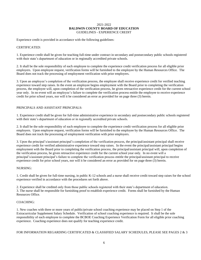#### 2021-2022 **BALDWIN COUNTY BOARD OF EDUCATION** GUIDELINES - EXPERIENCE CREDIT

Experience credit is provided in accordance with the following guidelines:

#### CERTIFICATED:

1. Experience credit shall be given for teaching full-time under contract in secondary and postsecondary public schools registered with their state's department of education or in regionally accredited private schools.

2. It shall be the sole responsibility of each employee to complete the experience credit verification process for all eligible prior employers. Upon employee request, verification forms will be furnished to the employee by the Human Resources Office. The Board does not track the processing of employment verification with prior employers.

3. Upon an employee's completion of the verification process, the employee shall receive experience credit for verified teaching experience toward step raises. In the event an employee begins employment with the Board prior to completing the verification process, the employee will, upon completion of the verification process, be given retroactive experience credit for the current school year only. In no event will an employee's failure to complete the verification process entitle the employee to receive experience credit for prior school years, nor will it be considered an error as provided for on page three (3) herein.

#### PRINCIPALS AND ASSISTANT PRINCIPALS:

1. Experience credit shall be given for full-time administrative experience in secondary and postsecondary public schools registered with their state's department of education or in regionally accredited private schools.

2. It shall be the sole responsibility of each employee to complete the experience credit verification process for all eligible prior employers. Upon employee request, verification forms will be furnished to the employee by the Human Resources Office. The Board does not track the processing of employment verification with prior employers.

3. Upon the principal's/assistant principal's completion of the verification process, the principal/assistant principal shall receive experience credit for verified administrative experience toward step raises. In the event the principal/assistant principal begins employment with the Board prior to completing the verification process, the principal/assistant principal will, upon completion of the verification process, be given retroactive experience credit for the current school year only. In no event will a principal's/assistant principal's failure to complete the verification process entitle the principal/assistant principal to receive experience credit for prior school years, nor will it be considered an error as provided for on page three (3) herein.

#### NURSING:

1. Credit shall be given for full-time nursing, in public K-12 schools and a nurse shall receive credit toward step raises for the school experience verified in accordance with the procedures set forth above.

2. Experience shall be credited only from those public schools registered with their state's department of education. 3. The nurse shall be responsible for furnishing proof to establish experience credit. Forms shall be furnished by the Human Resources Office.

#### COACHING:

1. New coaches with three or more years of public/private school coaching experience may be placed on Step 1 of the Extracurricular Supplement Salary Schedule. Verification of school coaching experience is required. It shall be the sole responsibility of each employee to complete the BCBOE Coaching Experience Verification Form for all eligible prior coaching experience. Coaching experience does not qualify for teaching experience credit.

FOR INFORMATION REGARDING CERTIFICATED & CLASSIFIED SALARY SCHEDULES, PLEASE SEE PAGES 2 & 3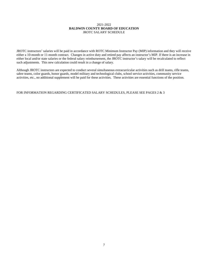#### 2021-2022 **BALDWIN COUNTY BOARD OF EDUCATION** JROTC SALARY SCHEDULE

JROTC instructors' salaries will be paid in accordance with ROTC Minimum Instructor Pay (MIP) information and they will receive either a 10-month or 11-month contract. Changes in active duty and retired pay affects an instructor's MIP. If there is an increase in either local and/or state salaries or the federal salary reimbursement, the JROTC instructor's salary will be recalculated to reflect such adjustments. This new calculation could result in a change of salary.

Although JROTC instructors are expected to conduct several simultaneous extracurricular activities such as drill teams, rifle teams, sabre teams, color guards, honor guards, model military and technological clubs, school service activities, community service activities, etc., no additional supplement will be paid for these activities. These activities are essential functions of the position.

#### FOR INFORMATION REGARDING CERTIFICATED SALARY SCHEDULES, PLEASE SEE PAGES 2 & 3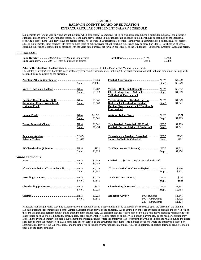#### 2021-2022 **BALDWIN COUNTY BOARD OF EDUCATION** EXTRACURRICULAR SUPPLEMENT SALARY SCHEDULE

Supplements are for one year only and are not included when base salary is computed. The principal must recommend a particular individual for a specific supplement each school year or athletic season; no continuing service status in the supplement position is implied or should be assumed by the individual receiving a supplement. Paid leave days are neither earned, nor accrued in a supplemental position. Employees in administrative positions shall not receive athletic supplements. New coaches with three or more years of public/private school coaching experience may be placed on Step 1. Verification of school coaching experience is required in accordance with the verification process set forth on page five (5 of the Guidelines – Experience Credit for Coaching herein.

#### **HIGH SCHOOLS**

|                                                            |        | \$2,454 |
|------------------------------------------------------------|--------|---------|
| <b>Band Auxiliary</b> \$9,450 – may be utilized as desired | Step 1 | \$3,682 |

**Athletic Director/Head Football Coach**................................................. **\$**10,432 Plus Twelve Months Employment.

The Athletic Director/Head Football Coach shall carry year-round responsibilities, including the general coordination of the athletic program in keeping with responsibilities delegated by the principal.

|                               |         |                    |                                                                                      |                      | \$4,909            |
|-------------------------------|---------|--------------------|--------------------------------------------------------------------------------------|----------------------|--------------------|
|                               | Step 1  | \$7,099            |                                                                                      | Step 1               | \$6,749            |
|                               |         | \$3,682            |                                                                                      |                      | \$3.682            |
|                               | Step 1  | \$5,523            |                                                                                      |                      | \$4,909            |
|                               |         |                    | <b>Volleyball &amp; Flag Football</b>                                                |                      |                    |
|                               |         | \$1.841            | Varsity Assistant - Baseball, Soccer,  NEW                                           |                      | \$1,229            |
| Swimming, Tennis, Wrestling & | Step 1  | \$3,068            | Basketball, Cheerleading, Softball,                                                  | Step 1               | \$1,841            |
| <b>Outdoor Track</b>          |         |                    | Outdoor Track, Volleyball, Wrestling &<br><b>Flag Football</b>                       |                      |                    |
|                               |         | \$1,229            |                                                                                      |                      | \$921              |
|                               | Step 1  | \$1,841            |                                                                                      | Step 1               | \$1,229            |
|                               |         |                    |                                                                                      |                      |                    |
|                               | Step 1  | \$1,841<br>\$2,454 | JV - Baseball, Basketball, JH Track  NEW<br>Football, Soccer, Softball, & Volleyball |                      | \$1,229<br>\$1,841 |
|                               |         |                    |                                                                                      | Step 1               |                    |
|                               |         |                    | JV Assistant - Baseball, Basketball,  NEW                                            |                      | \$736              |
| <b>Athletic Trainer</b>       | \$1.638 |                    | Soccer, Softball, & Volleyball                                                       | Step 1               | \$921              |
|                               |         |                    |                                                                                      |                      |                    |
|                               |         | \$921              |                                                                                      |                      | \$1,841            |
|                               | Step 1  | \$1,229            |                                                                                      | Step 1               | \$2,454            |
| <b>MIDDLE SCHOOLS</b>         |         |                    |                                                                                      |                      |                    |
|                               |         | \$2,454            | <b>Football</b> $$6,137$ – may be utilized as desired                                |                      |                    |
|                               | Step 1  | \$3,682            |                                                                                      |                      |                    |
|                               |         | \$1,229            | 7 <sup>th</sup> Gr Basketball & 7 <sup>th</sup> Gr Volleyball  NEW                   |                      | \$736              |
|                               | Step 1  | \$1,841            |                                                                                      | Step 1               | \$921              |
|                               |         | \$1,229            | <b>Track &amp; Cross Country</b>                                                     |                      | \$736              |
|                               | Step 1  | \$1,841            |                                                                                      | NEW<br>Step 1        | \$921              |
|                               |         |                    |                                                                                      |                      |                    |
|                               |         | \$921              |                                                                                      |                      | \$1,841            |
|                               | Step 1  | \$1,229            |                                                                                      | Step 1               | \$2,454            |
|                               |         | \$1,229            | <b>Academic Advisor</b>                                                              | $800+$ students      | \$1.841            |
|                               | Step 1  | \$1,841            |                                                                                      | $500 - 799$ students | \$1,472            |
|                               |         |                    |                                                                                      | $225 - 499$ students | \$1,104            |

Principals shall assign yearly coaching assignments on an equitable basis. Supplements may be utilized as desired based upon the percent of the total unit allocation upon the recommendation of the Athletic Director and approval of the principal. All coaching personnel are expected to coach in the sport in which they are assigned and perform athletic duties throughout the school year. All assistant coaches will be expected to have non-active coaching responsibilities in other sports, such as, but not limited to, timer, judges, ticket seller or taker, transportation of or supervision of non-players, etc., as the need or occasion may arise. In the event an employee is paid a supplement under circumstances where the employee fails to perform, in whole or in part, the related duties, the Board shall recoup from the employee's pay, all sums paid but not earned, as the circumstances require. This includes occasions where the employee is placed on administrative leave by the Superintendent, and the employee does not perform supplemental duties. Athletic Supplement allocation formulas can be found on page 8 of the salary schedule.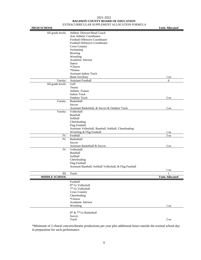#### 2021-2022 **BALDWIN COUNTY BOARD OF EDUCATION** EXTRACURRICULAR SUPPLEMENT ALLOCATION FORMULA

| <b>HIGH SCHOOL</b>   | ATKACOKKICOLAK SOH LEBNENT ALLOCATION I                  | <b>Units Allocated</b> |
|----------------------|----------------------------------------------------------|------------------------|
| All grade levels:    | Athletic Director/Head Coach                             |                        |
|                      | Asst Athletic Coordinator                                |                        |
|                      | Football Offensive Coordinator                           |                        |
|                      | <b>Football Defensive Coordinator</b>                    |                        |
|                      | <b>Cross Country</b>                                     |                        |
|                      | Swimming                                                 |                        |
|                      | Bowling                                                  |                        |
|                      | Wrestling                                                |                        |
|                      | Academic Advisor                                         |                        |
|                      | Dance                                                    |                        |
|                      | *Chorus                                                  |                        |
|                      | *Drama                                                   |                        |
|                      | <b>Assistant Indoor Track</b>                            |                        |
|                      | <b>Band Auxiliary</b>                                    | $1$ ea                 |
| Varsity:             | <b>Assistant Football</b>                                | 6                      |
| All grade levels:    | Golf                                                     |                        |
|                      | Tennis                                                   |                        |
|                      | <b>Athletic Trainer</b>                                  |                        |
|                      | <b>Indoor Track</b>                                      |                        |
|                      | <b>Outdoor Track</b>                                     | $2\,\mathrm{ea}$       |
| Varsity:             | Basketball                                               |                        |
|                      | Soccer                                                   |                        |
|                      | Assistant Basketball, & Soccer & Outdoor Track           | 2 ea                   |
| Varsity:             | Volleyball                                               |                        |
|                      | Baseball                                                 |                        |
|                      | Softball                                                 |                        |
|                      | Cheerleading                                             |                        |
|                      | <b>Flag Football</b>                                     |                        |
|                      | Assistant Volleyball, Baseball, Softball, Cheerleading   |                        |
|                      | Wrestling & Flag Football                                | 1 ea                   |
| JV:                  | Football                                                 | $3\,\mathrm{ea}$       |
| JV:                  | Basketball                                               |                        |
|                      | Soccer                                                   |                        |
|                      | Assistant Basketball & Soccer                            | 2 ea                   |
| JV:                  | Volleyball                                               |                        |
|                      | Baseball                                                 |                        |
|                      | Softball                                                 |                        |
|                      | Cheerleading                                             |                        |
|                      | <b>Flag Football</b>                                     |                        |
|                      | Assistant Baseball, Softball Volleyball, & Flag Football |                        |
|                      |                                                          | 1 ea                   |
| JH:                  | Track                                                    |                        |
| <b>MIDDLE SCHOOL</b> |                                                          | <b>Units Allocated</b> |
|                      | Football                                                 |                        |
|                      | 8 <sup>th</sup> Gr Volleyball                            |                        |
|                      | 7 <sup>th</sup> Gr Volleyball                            |                        |
|                      | <b>Cross Country</b>                                     |                        |
|                      | Cheerleading                                             |                        |
|                      | *Chorus                                                  |                        |
|                      | Academic Advisor                                         |                        |
|                      | Wrestling                                                | 1 ea                   |
|                      |                                                          |                        |
|                      | $8^{\rm th}$ & $7^{\rm th}$ Gr Basketball                |                        |
|                      | Soccer                                                   |                        |
|                      | Track                                                    | $2\,\mathrm{ea}$       |

\*Minimum of 2 choral concerts/theatre productions per year plus additional hours outside the normal school day in preparation for such performance.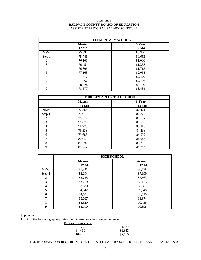#### 2021-2022 **BALDWIN COUNTY BOARD OF EDUCATION** ASSISTANT PRINCIPAL SALARY SCHEDULE

|                  |               | <b>ELEMENTARY SCHOOL</b> |
|------------------|---------------|--------------------------|
|                  | <b>Master</b> | 6-Year                   |
|                  | 12 Mo         | $12\ Mo$                 |
| <b>NEW</b>       | 75,394        | 80,300                   |
| Step 1           | 75,746        | 80,653                   |
| $\boldsymbol{2}$ | 76,101        | 81,006                   |
| 3                | 76,454        | 81,358                   |
| $\overline{4}$   | 76,806        | 81,713                   |
| 5                | 77,163        | 82,068                   |
| 6                | 77,517        | 82,420                   |
| $\overline{7}$   | 77,867        | 82,776                   |
| 8                | 78,224        | 83,129                   |
| 9                | 78,577        | 83,484                   |

|            |               | <b>MIDDLE/CAREER TECH SCHOOLS</b> |
|------------|---------------|-----------------------------------|
|            | <b>Master</b> | 6-Year                            |
|            | $12\ M$ o     | $12\ M$ o                         |
| <b>NEW</b> | 77,565        | 82,471                            |
| Step 1     | 77,919        | 82,825                            |
| 2          | 78,272        | 83,177                            |
| 3          | 78,625        | 83,533                            |
| 4          | 78,978        | 83,886                            |
| 5          | 79,333        | 84,238                            |
| 6          | 79,686        | 84,592                            |
| 7          | 80,040        | 84,946                            |
| 8          | 80,392        | 85,298                            |
| 9          | 80.747        | 85,655                            |

|                |               | <b>HIGH SCHOOL</b> |
|----------------|---------------|--------------------|
|                | <b>Master</b> | 6-Year             |
|                | 12 Mo         | 12 Mo              |
| <b>NEW</b>     | 81,831        | 86,738             |
| Step 1         | 82,294        | 87,199             |
| 2              | 82,755        | 87,663             |
| 3              | 83,219        | 88,125             |
| $\overline{4}$ | 83,680        | 88,587             |
| 5              | 84,142        | 89,048             |
| 6              | 84,604        | 89,510             |
| 7              | 85,067        | 89,974             |
| 8              | 85,529        | 90,435             |
| 9              | 85,990        | 90,898             |

#### Supplements:

1. Add the following appropriate amount based on classroom experience:

**Experience in years:**

| .        |         |
|----------|---------|
| $0 - 6$  | \$677   |
| $6 - 10$ | \$1,353 |
| $10+$    | \$2,165 |

FOR INFORMATION REGARDING CERTIFICATED SALARY SCHEDULES, PLEASE SEE PAGES 2  $\&$  3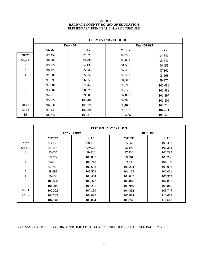#### 2021-2022 **BALDWIN COUNTY BOARD OF EDUCATION** ELEMENTARY PRINCIPAL SALARY SCHEDULE

|                | <b>ELEMENTARY SCHOOL</b> |         |               |         |  |  |
|----------------|--------------------------|---------|---------------|---------|--|--|
|                |                          | Enr<450 | Enr 450-699   |         |  |  |
|                | <b>Master</b>            | $6-Yr$  | <b>Master</b> | $6-Yr$  |  |  |
| <b>NEW</b>     | 87,459                   | 92,323  | 89,775        | 94,641  |  |  |
| Step 1         | 88,366                   | 93,230  | 90,682        | 95,547  |  |  |
| $\overline{c}$ | 89,272                   | 94,139  | 91,590        | 96,455  |  |  |
| 3              | 90,179                   | 95,046  | 92,497        | 97,362  |  |  |
| $\overline{4}$ | 91,087                   | 95,951  | 93,403        | 98,268  |  |  |
| 5              | 91,995                   | 96,859  | 94,311        | 99,177  |  |  |
| 6              | 92,901                   | 97,767  | 95,217        | 100,083 |  |  |
| 7              | 93,807                   | 98,673  | 96,125        | 100,989 |  |  |
| $8\,$          | 94,715                   | 99,581  | 97,033        | 101,897 |  |  |
| 9              | 95,624                   | 100,488 | 97,940        | 102,806 |  |  |
| $10 - 11$      | 96,531                   | 101,396 | 98,847        | 103,714 |  |  |
| $12 - 14$      | 97,440                   | 102,305 | 99,757        | 104,621 |  |  |
| 15             | 98,347                   | 103,213 | 100,665       | 105,529 |  |  |

|                | <b>ELEMENTARY SCHOOL</b> |                    |               |              |  |  |
|----------------|--------------------------|--------------------|---------------|--------------|--|--|
|                |                          | <b>Enr 700-999</b> |               | $Enr + 1000$ |  |  |
|                | <b>Master</b>            | 6 Yr               | <b>Master</b> | 6 Yr         |  |  |
| <b>New</b>     | 93,250                   | 98,116             | 95,568        | 100,432      |  |  |
| Step 1         | 94,157                   | 99,023             | 96,499        | 101,364      |  |  |
| 2              | 95,065                   | 99,930             | 97,430        | 102,295      |  |  |
| 3              | 95,972                   | 100,837            | 98,361        | 103,226      |  |  |
| $\overline{4}$ | 96,879                   | 101,743            | 99,293        | 104,159      |  |  |
| 5              | 97,786                   | 102,652            | 100,224       | 105,090      |  |  |
| 6              | 98,692                   | 103,559            | 101,155       | 106,021      |  |  |
| 7              | 99,600                   | 104,464            | 102,087       | 106,952      |  |  |
| 8              | 100,508                  | 105,372            | 103,018       | 107,883      |  |  |
| 9              | 101,416                  | 106,281            | 103,949       | 108,815      |  |  |
| $10 - 11$      | 102,322                  | 107,189            | 104,882       | 109,747      |  |  |
| $12 - 14$      | 103,232                  | 108,097            | 105,814       | 110,678      |  |  |
| 15             | 104,140                  | 109,004            | 106,746       | 111,611      |  |  |

#### FOR INFORMATION REGARDING CERTIFICATED SALARY SCHEDULES, PLEASE SEE PAGES 2  $\&$  3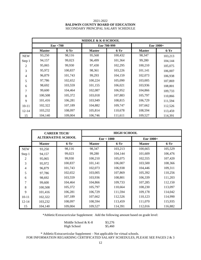#### 2021-2022 **BALDWIN COUNTY BOARD OF EDUCATION** SECONDARY PRINCIPAL SALARY SCHEDULE

|                | <b>MIDDLE &amp; K-8 SCHOOL</b> |           |               |         |               |           |  |  |
|----------------|--------------------------------|-----------|---------------|---------|---------------|-----------|--|--|
|                |                                | Enr < 700 | Enr 700-999   |         |               | Enr 1000+ |  |  |
|                | <b>Master</b>                  | $6-Yr$    | <b>Master</b> | $6-Yr$  | <b>Master</b> | $6-Yr$    |  |  |
| <b>NEW</b>     | 93,250                         | 98,116    | 95,568        | 100,432 | 98,347        | 103,213   |  |  |
| Step 1         | 94,157                         | 99,023    | 96,499        | 101,364 | 99,280        | 104,144   |  |  |
| $\overline{c}$ | 95,065                         | 99,930    | 97,430        | 102,295 | 100,210       | 105,075   |  |  |
| 3              | 95,972                         | 100,837   | 98,361        | 103,226 | 101,141       | 106,007   |  |  |
| 4              | 96,879                         | 101,743   | 99,293        | 104,159 | 102,073       | 106,938   |  |  |
| 5              | 97,786                         | 102,652   | 100,224       | 105,090 | 103,005       | 107,869   |  |  |
| 6              | 98,692                         | 103,559   | 101,155       | 106,021 | 103,936       | 108,801   |  |  |
| 7              | 99,600                         | 104,464   | 102,087       | 106,952 | 104,866       | 109,733   |  |  |
| 8              | 100,508                        | 105,372   | 103,018       | 107,883 | 105,797       | 110,866   |  |  |
| 9              | 101,416                        | 106,281   | 103,949       | 108,815 | 106,729       | 111,594   |  |  |
| $10 - 11$      | 102,322                        | 107,189   | 104,882       | 109,747 | 107,662       | 112,526   |  |  |
| $12 - 14$      | 103,232                        | 108,097   | 105,814       | 110,678 | 108,594       | 113,459   |  |  |
| 15             | 104,140                        | 109,004   | 106,746       | 111,611 | 109,527       | 114,391   |  |  |

|                | <b>CAREER TECH/</b><br><b>ALTERNATIVE SCHOOL</b> |         | <b>HIGH SCHOOL</b> |         |               |         |
|----------------|--------------------------------------------------|---------|--------------------|---------|---------------|---------|
|                |                                                  |         | Enr < 1000         |         | $Enr 1000+$   |         |
|                | <b>Master</b>                                    | $6-Yr$  | <b>Master</b>      | $6-Yr$  | <b>Master</b> | $6-Yr$  |
| <b>NEW</b>     | 93,250                                           | 98,116  | 98,347             | 103,213 | 100,665       | 105,529 |
| Step 1         | 94,157                                           | 99,023  | 99,280             | 104,144 | 101,609       | 106,476 |
| $\mathfrak{D}$ | 95,065                                           | 99,930  | 100,210            | 105,075 | 102,555       | 107,420 |
| 3              | 95,972                                           | 100,837 | 101,141            | 106,007 | 103,500       | 108,366 |
| 4              | 96,879                                           | 101,743 | 102,073            | 106,938 | 104,446       | 109,311 |
| 5              | 97,786                                           | 102,652 | 103,005            | 107,869 | 105,392       | 110,256 |
| 6              | 98,692                                           | 103,559 | 103,936            | 108,801 | 106,339       | 111,203 |
| 7              | 99,600                                           | 104,464 | 104,866            | 109,733 | 107,285       | 112,150 |
| 8              | 100,508                                          | 105,372 | 105,797            | 110,664 | 108,230       | 113,097 |
| 9              | 101,416                                          | 106,281 | 106,729            | 111,594 | 109,178       | 114,042 |
| $10 - 11$      | 102,322                                          | 107,189 | 107,662            | 112,526 | 110,123       | 114,990 |
| $12 - 14$      | 103,232                                          | 108,097 | 108,594            | 113,459 | 111,070       | 115,935 |
| 15             | 104,140                                          | 109,004 | 109,527            | 114,391 | 112,016       | 116,882 |

\*Athletic/Extracurricular Supplement: Add the following amount based on grade level:

Middle School & K-8  $$3,276$ <br>High School  $$5,460$ High School

 \* Athletic/Extracurricular Supplement – Not applicable for virtual schools. FOR INFORMATION REGARDING CERTIFICATED SALARY SCHEDULES, PLEASE SEE PAGES 2 & 3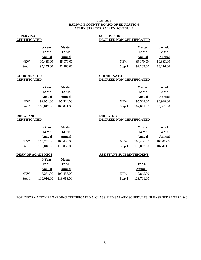#### 2021-2022 **BALDWIN COUNTY BOARD OF EDUCATION** ADMINISTRATOR SALARY SCHEDULE

# **SUPERVISOR SUPERVISOR**

# **CERTIFICATED DEGREED NON-CERTIFICATED**

| 6-Year    | <b>Master</b> |            | <b>Master</b>   | <b>Bachelo</b> |
|-----------|---------------|------------|-----------------|----------------|
| 12 Mo     | 12 Mo         |            | $12 \text{ Mo}$ | 12 Mo          |
| Annual    | Annual        |            | Annual          | Annual         |
| 90.488.00 | 85,979.00     | <b>NEW</b> | 85,979.00       | 80,333.00      |
| 97,155.00 | 92,283.00     | Step 1     | 92,283.00       | 88,216.00      |
|           |               |            |                 |                |

| 6-Year          | <b>Master</b> |            | <b>Master</b> | <b>Bachelor</b> |
|-----------------|---------------|------------|---------------|-----------------|
| $12 \text{ Mo}$ | 12 Mo         |            | $12\ M$ o     | 12 Mo           |
| Annual          | Annual        |            | Annual        | Annual          |
| 0,488.00        | 85,979.00     | <b>NEW</b> | 85,979.00     | 80,333.00       |
| 7,155.00        | 92,283.00     | Step 1     | 92,283.00     | 88,216.00       |

# **COORDINATOR COORDINATOR**

## **CERTIFICATED DEGREED NON-CERTIFICATED**

|            | 6-Year       | <b>Master</b> |            | <b>Master</b>   | <b>Bachelor</b> |
|------------|--------------|---------------|------------|-----------------|-----------------|
|            | <b>12 Mo</b> | 12 Mo         |            | $12 \text{ Mo}$ | 12 Mo           |
|            | Annual       | Annual        |            | Annual          | Annual          |
| <b>NEW</b> | 99.951.00    | 95.524.00     | <b>NEW</b> | 95.524.00       | 90.928.00       |
| Step 1     | 106,817.00   | 102,041.00    | Step 1     | 102,041.00      | 93,991.00       |

# **DIRECTOR DIRECTOR**

|            | 6-Year        | <b>Master</b> |
|------------|---------------|---------------|
|            | 12 Mo         | 12 Mo         |
|            | <b>Annual</b> | <b>Annual</b> |
| <b>NEW</b> | 115,251.00    | 109,486.00    |
| Step 1     | 119,016.00    | 113,063.00    |

|            | 6-Year     | <b>Master</b> |
|------------|------------|---------------|
|            | 12 Mo      | 12 Mo         |
|            | Annual     | Annual        |
| <b>NEW</b> | 115,251.00 | 109,486.00    |
| Step 1     | 119.016.00 | 113.063.00    |

## **CERTIFICATED DEGREED NON-CERTIFICATED**

|            | 6-Year     | <b>Master</b>   |            | <b>Master</b> | <b>Bachelor</b> |
|------------|------------|-----------------|------------|---------------|-----------------|
|            | 12 Mo      | $12 \text{ Mo}$ |            | $12\ M$ o     | $12\ M$ o       |
|            | Annual     | Annual          |            | Annual        | Annual          |
| <b>NEW</b> | 115.251.00 | 109,486.00      | <b>NEW</b> | 109,486.00    | 104,012.00      |
| Step 1     | 119,016.00 | 113,063.00      | Step 1     | 113,063.00    | 107,411.00      |

#### **DEAN OF ACADEMICS ASSISTANT SUPERINTENDENT**

|        | 12 Mo                 | 12 Mo                 |            | 12 Mo             |
|--------|-----------------------|-----------------------|------------|-------------------|
|        | Annual                | Annual                |            | Annual            |
| NEW    |                       | 115,251.00 109,486.00 | <b>NEW</b> | 119,845.00        |
| Step 1 | 119,016.00 113,063.00 |                       |            | Step 1 123,791.00 |

#### FOR INFORMATION REGARDING CERTIFICATED & CLASSIFIED SALARY SCHEDULES, PLEASE SEE PAGES 2 & 3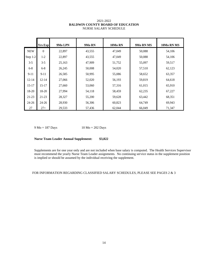#### 2021-2022 **BALDWIN COUNTY BOARD OF EDUCATION** NURSE SALARY SCHEDULE

|            | <b>Yrs Exp</b> | 9Mo LPN | 9Mo RN | 10Mo RN | 9Mo RN MS | 10Mo RN MS |
|------------|----------------|---------|--------|---------|-----------|------------|
| <b>NEW</b> | $\Omega$       | 22,897  | 43,555 | 47,049  | 50,088    | 54,106     |
| Step 1-2   | $1 - 2$        | 22,897  | 43,555 | 47,049  | 50,088    | 54,106     |
| $3 - 5$    | $3 - 5$        | 25,163  | 47,909 | 51,752  | 55,097    | 59,517     |
| $6 - 8$    | $6 - 8$        | 26,245  | 50,008 | 54,020  | 57,510    | 62,123     |
| $9-11$     | $9 - 11$       | 26,585  | 50,995 | 55,086  | 58,652    | 63,357     |
| $12 - 14$  | $12 - 14$      | 27,066  | 52,020 | 56,193  | 59,819    | 64,618     |
| $15 - 17$  | $15 - 17$      | 27,660  | 53,060 | 57,316  | 61,015    | 65,910     |
| 18-20      | $18-20$        | 27,994  | 54,118 | 58,459  | 62,235    | 67,227     |
| $21-23$    | $21-23$        | 28,327  | 55,200 | 59,628  | 63,442    | 68,351     |
| $24 - 26$  | $24 - 26$      | 28,930  | 56,306 | 60,823  | 64,749    | 69,943     |
| 27         | $27+$          | 29,533  | 57,436 | 62,044  | 66,049    | 71,347     |

9 Mo = 187 Days 10 Mo = 202 Days

#### **Nurse Team Leader Annual Supplement: \$3,822**

Supplements are for one year only and are not included when base salary is computed. The Health Services Supervisor must recommend the yearly Nurse Team Leader assignments. No continuing service status in the supplement position is implied or should be assumed by the individual receiving the supplement.

#### FOR INFORMATION REGARDING CLASSIFIED SALARY SCHEDULES, PLEASE SEE PAGES 2  $\&$  3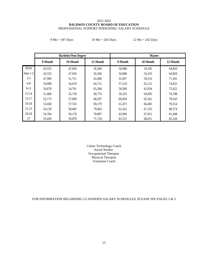#### 2021-2022 **BALDWIN COUNTY BOARD OF EDUCATION** PROFESSIONAL SUPPORT PERSONNEL SALARY SCHEDULE

| $9 \text{ Mo} = 187 \text{ Days}$ |  |
|-----------------------------------|--|
|-----------------------------------|--|

 $10 \text{ Mo} = 202 \text{ Days}$  12 Mo = 242 Days

|            | <b>Bachelor/Non-Degree</b> |          |          | <b>Master</b> |          |          |
|------------|----------------------------|----------|----------|---------------|----------|----------|
|            | 9-Month                    | 10-Month | 12-Month | 9-Month       | 10-Month | 12-Month |
| <b>NEW</b> | 43,555                     | 47,050   | 56,366   | 50,088        | 54,105   | 64,820   |
| Step $1-2$ | 43,555                     | 47,050   | 56,366   | 50,088        | 54,105   | 64,820   |
| $3-5$      | 47,909                     | 51,751   | 62,000   | 55,097        | 59,516   | 71,301   |
| $6 - 8$    | 50,008                     | 54,019   | 64,715   | 57,510        | 62,121   | 74,422   |
| $9 - 11$   | 50,678                     | 54,741   | 65,584   | 58,280        | 62,954   | 75,422   |
| $12 - 14$  | 51,600                     | 55,739   | 66,776   | 59,335        | 64,095   | 76,788   |
| $15 - 17$  | 52,775                     | 57,009   | 68,297   | 60,694        | 65,561   | 78,543   |
| 18-20      | 53,458                     | 57,745   | 69,179   | 61,473        | 66,405   | 79,554   |
| 21-23      | 54,139                     | 58,482   | 70,063   | 62,262        | 67,255   | 80,574   |
| $24 - 26$  | 54,784                     | 59,178   | 70,897   | 62,906        | 67,951   | 81,408   |
| 27         | 55,430                     | 59,878   | 71,734   | 63,551        | 68,651   | 82,244   |

Career Technology Coach Social Worker Occupational Therapist Physical Therapist Transition Coach

FOR INFORMATION REGARDING CLASSIFIED SALARY SCHEDULES, PLEASE SEE PAGES 2 & 3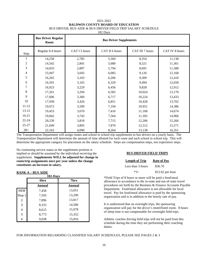#### 2021-2022 **BALDWIN COUNTY BOARD OF EDUCATION** BUS DRIVER, BUS AIDE & BUS DRIVER FIELD TRIP SALARY SCHEDULE

182 Days

|                | <b>Bus Driver Regular</b><br>Route | <b>Bus Driver Supplements</b> |                |                 |                |
|----------------|------------------------------------|-------------------------------|----------------|-----------------|----------------|
| Step           | Regular 0-4 hours                  | CAT I 5 hours                 | CAT II 6 hours | CAT III 7 hours | CAT IV 8 hours |
| 1              | 14,258                             | 2,785                         | 5,569          | 8,354           | 11,138         |
| $\overline{2}$ | 14,542                             | 2,841                         | 5,680          | 8,521           | 11,361         |
| 3              | 14,833                             | 2,897                         | 5,794          | 8,691           | 11,588         |
| 4              | 15,947                             | 3,043                         | 6,083          | 9,126           | 12,168         |
| 5              | 16,265                             | 3,103                         | 6,206          | 9,309           | 12,410         |
| 6              | 16,591                             | 3,165                         | 6,329          | 9,494           | 12,658         |
| $\overline{7}$ | 16,923                             | 3,229                         | 6,456          | 9,828           | 12,912         |
| 8              | 17,261                             | 3,294                         | 6,585          | 10,024          | 13,170         |
| 9              | 17,606                             | 3,360                         | 6,717          | 10,224          | 13,433         |
| $10\,$         | 17,958                             | 3,426                         | 6,851          | 10,428          | 13,702         |
| $11 - 12$      | 19,072                             | 3,599                         | 7,194          | 10,951          | 14,386         |
| $13 - 15$      | 19,453                             | 3,670                         | 7,416          | 11,168          | 14,674         |
| $16 - 21$      | 19,842                             | 3,743                         | 7,564          | 11,392          | 14,966         |
| $22 - 24$      | 20,239                             | 3,818                         | 7,715          | 12,206          | 15,266         |
| $25 - 27$      | 21,049                             | 3,895                         | 7,870          | 12,512          | 15,571         |
| $28+$          | 22,163                             | 4,090                         | 8,264          | 13,138          | 16,351         |

The Transportation Department will assign routes and school to school trip supplements to bus drivers on a yearly basis. The Transportation Department will determine the amount of time allotted for each route and each school to school trip. This will determine the appropriate category for placement on the salary schedule. Steps are compensation steps, not experience steps.

No continuing service status in the supplement position is implied or should be assumed by the individual receiving the supplement. **Supplements WILL be adjusted for change in route/trip assignments once per year unless the change constitutes an increase in salary.**

#### **RANK A – BUS AIDE**

| 182-Days   |        |        |  |  |
|------------|--------|--------|--|--|
|            | 4hrs   | 7hrs   |  |  |
|            | Annual | Annual |  |  |
| <b>NEW</b> | 7,458  | 13,051 |  |  |
| Step 1     | 7,593  | 13,290 |  |  |
| 2          | 7,896  | 13,817 |  |  |
| 3          | 8,333  | 14,586 |  |  |
| 4          | 8,615  | 15,078 |  |  |
| 5          | 8,773  | 15,352 |  |  |
| 6          | 9,038  | 15,816 |  |  |

#### **BUS DRIVER FIELD TRIPS**

| <b>Length of Trip</b> | <b>Rate of Pay</b> |
|-----------------------|--------------------|
| Less than 3 hours     | \$36.70            |
| $*3_+$                | $$12.62$ per hour  |

\*Field Trips of 8 hours or more will be paid a food/meal allowance in accordance to the in-state and out-of-state travel procedures set forth by the Business & Finance Accounts Payable Department. Food/meal allowance is not allowable for local travel. Pay for food/meal allowance is paid by the sponsoring organization and is in addition to the hourly rate of pay.

It is understood that on overnight trips, the sponsoring organization will pay for the driver's motel/hotel room. 8 hours of sleep time is not compensable for overnight field trips.

Athletic coaches driving field trips will not be paid from this schedule during the time they are performing their coaching duties.

#### FOR INFORMATION REGARDING CLASSIFIED SALARY SCHEDULES, PLEASE SEE PAGES 2 & 3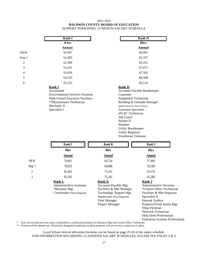#### 2021-2022 **BALDWIN COUNTY BOARD OF EDUCATION** SUPPORT PERSONNEL 12-MONTH SALARY SCHEDULE

| <b>Rank I</b>                                                                                                                                                      | <b>Rank H</b>                                                                                                                                                                                                                                       |  |
|--------------------------------------------------------------------------------------------------------------------------------------------------------------------|-----------------------------------------------------------------------------------------------------------------------------------------------------------------------------------------------------------------------------------------------------|--|
| 8 hrs                                                                                                                                                              | 8hrs                                                                                                                                                                                                                                                |  |
| <u>Annual</u>                                                                                                                                                      | <b>Annual</b>                                                                                                                                                                                                                                       |  |
| 50,947                                                                                                                                                             | 40,901                                                                                                                                                                                                                                              |  |
| 51,665                                                                                                                                                             | 42,337                                                                                                                                                                                                                                              |  |
| 52,384                                                                                                                                                             | 45,351                                                                                                                                                                                                                                              |  |
| 53,101                                                                                                                                                             | 47,071                                                                                                                                                                                                                                              |  |
| 53,818                                                                                                                                                             | 47,502                                                                                                                                                                                                                                              |  |
| 54,535                                                                                                                                                             | 48,508                                                                                                                                                                                                                                              |  |
| 55,253                                                                                                                                                             | 49,514                                                                                                                                                                                                                                              |  |
| Rank I<br>Accountant<br><b>Environmental Services Foreman</b><br><b>High School Executive Secretary</b><br>**Maintenance Technician<br>Mechanic II<br>Specialist I | <b>Rank H</b><br><b>Accounts Payable Bookkeeper</b><br>Carpenter<br><b>Equipment Technician</b><br>Building & Grounds Manager<br>(High School & Central Office)<br><b>Assistant Specialist</b><br><b>HVAC</b> Technician<br>Job Coach<br>Painter II |  |
|                                                                                                                                                                    |                                                                                                                                                                                                                                                     |  |

Plumber Utility Bookkeeper Utility Registrar Warehouse Foreman

Enterprise Systems Professional

|                | Rank L                                                                                         | <b>Rank K</b>                                                                                                                                                                    | <b>Rank J</b>                                                                                                                                                                                                                                         |
|----------------|------------------------------------------------------------------------------------------------|----------------------------------------------------------------------------------------------------------------------------------------------------------------------------------|-------------------------------------------------------------------------------------------------------------------------------------------------------------------------------------------------------------------------------------------------------|
|                | 8hrs                                                                                           | 8hrs                                                                                                                                                                             | 8hrs                                                                                                                                                                                                                                                  |
|                | Annual                                                                                         | <b>Annual</b>                                                                                                                                                                    | <b>Annual</b>                                                                                                                                                                                                                                         |
| <b>NEW</b>     | 76,061                                                                                         | 66,734                                                                                                                                                                           | 57,406                                                                                                                                                                                                                                                |
| Step 1         | 78,933                                                                                         | 68,888                                                                                                                                                                           | 59,560                                                                                                                                                                                                                                                |
| 2              | 81,803                                                                                         | 73,192                                                                                                                                                                           | 63,576                                                                                                                                                                                                                                                |
| $\mathfrak{Z}$ | 85,392                                                                                         | 75,345                                                                                                                                                                           | 65,586                                                                                                                                                                                                                                                |
|                | <b>Rank L</b><br><b>Administrative Assistant</b><br>*Business Mgr<br>Coordinator (Non-Degreed) | <b>Rank K</b><br><b>Accounts Payable Mgr</b><br>Facilities & Mnt Manager<br><b>Technology Support Mgr</b><br>Supervisor (Non-Degreed)<br><b>Fleet Manager</b><br>Project Manager | <b>Rank J</b><br><b>Administrative Secretary</b><br>*Central Office Technician<br>Facilities & Mnt Inspector<br>Specialist II<br><b>Internal Auditor</b><br>Property/Fixed Assets Mgr<br>Shop Foreman<br>Network Technician<br>Help Desk Professional |

\* Does not include previous salary established as certificated positions for Business Mgr and Central Office Technician.

\*\* Position will be phased out. Previously designated employees in these positions will not receive a reduction in salary.

Local School clerical allocation formulas can be found on page 25-26 of the salary schedule. FOR INFORMATION REGARDING CLASSIFIED SALARY SCHEDULES, PLEASE SEE PAGES 2 & 3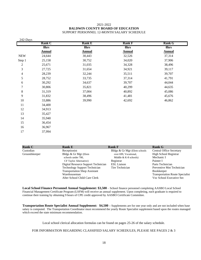#### 2021-2022 **BALDWIN COUNTY BOARD OF EDUCATION** SUPPORT PERSONNEL 12-MONTH SALARY SCHEDULE

| 242-Days       |               |               |               |               |
|----------------|---------------|---------------|---------------|---------------|
|                | <b>Rank C</b> | <b>Rank E</b> | <b>Rank F</b> | <b>Rank G</b> |
|                | 8hrs          | 8hrs          | 8hrs          | 8hrs          |
|                | <b>Annual</b> | <b>Annual</b> | <b>Annual</b> | <b>Annual</b> |
| <b>NEW</b>     | 24,644        | 30,443        | 32,526        | 37,314        |
| Step 1         | 25,158        | 30,752        | 34,020        | 37,906        |
| $\mathfrak 2$  | 25,671        | 31,035        | 34,328        | 38,496        |
| $\mathfrak{Z}$ | 27,725        | 31,654        | 34,921        | 39,117        |
| 4              | 28,239        | 32,244        | 35,511        | 39,707        |
| 5              | 28,752        | 33,735        | 37,314        | 41,791        |
| 6              | 30,292        | 34,637        | 39,707        | 44,044        |
| 7              | 30,806        | 35,821        | 40,299        | 44,635        |
| $\,8\,$        | 31,319        | 37,004        | 40,892        | 45,086        |
| 9              | 31,832        | 38,496        | 41,481        | 45,676        |
| 10             | 33,886        | 39,990        | 42,692        | 46,862        |
| 11             | 34,400        |               |               |               |
| 12             | 34,913        |               |               |               |
| 13             | 35,427        |               |               |               |
| 14             | 35,940        |               |               |               |
| 15             | 36,454        |               |               |               |
| 16             | 36,967        |               |               |               |
| 17             | 37,994        |               |               |               |

| <b>Rank C</b> | <b>Rank E</b>                        | <b>Rank F</b>                | <b>Rank G</b>                          |
|---------------|--------------------------------------|------------------------------|----------------------------------------|
| Custodian     | Receptionist                         | Bldgs & Gr Mgr (Elem schools | <b>Central Office Secretary</b>        |
| Groundskeeper | Bldgs & Gr Mgr (Elem                 | over 699, Vocational,        | <b>High School Registrar</b>           |
|               | schools under 700,                   | Middle $&$ K-8 schools)      | Mechanic I                             |
|               | <b>CF Taylor Alternative</b> )       | Registrar                    | Painter I                              |
|               | Digital Resource Support Technician  | <b>ESL Liaison</b>           | Parts Technician                       |
|               | <b>Technology Support Technician</b> | Tire Technician              | Preventive Mnt Technician              |
|               | <b>Transportation Shop Assistant</b> |                              | <b>Bookkeeper</b>                      |
|               | Warehouseman                         |                              | <b>Transportation Route Specialist</b> |
|               | After School Child Care Clerk        |                              | Voc School Executive Sec               |

**Local School Finance Personnel Annual Supplement: \$3,500** – School finance personnel completing AASBO Local School Financial Management Certificate Program (LSFM) will receive an annual supplement. Upon completing, each graduate is required to continue their training by obtaining 9 hours of CPE credit approved by AASBO Certificate Committee.

**Transportation Route Specialist Annual Supplement: \$4,500 –** Supplements are for one year only and are not included when base salary is computed. The Transportation Coordinator must recommend the yearly Route Specialist supplement based upon the routes managed which exceed the state minimum recommendation.

Local school clerical allocation formulas can be found on pages 25-26 of the salary schedule.

FOR INFORMATION REGARDING CLASSIFIED SALARY SCHEDULES, PLEASE SEE PAGES 2 & 3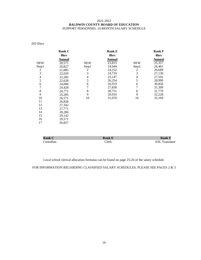#### 2021-2022 **BALDWIN COUNTY BOARD OF EDUCATION** SUPPORT PERSONNEL 10-MONTH SALARY SCHEDULE

202-Days

|                | <b>Rank C</b> |            | <b>Rank E</b> |            | <b>Rank F</b> |
|----------------|---------------|------------|---------------|------------|---------------|
|                | 8hrs          |            | 8hrs          |            | 8hrs          |
|                | Annual        |            | Annual        |            | Annual        |
| <b>NEW</b>     | 20,571        | <b>NEW</b> | 23,815        | <b>NEW</b> | 25,357        |
| Step1          | 20,827        | Step1      | 24,044        | Step1      | 26,461        |
| $\overline{c}$ | 21,085        | 2          | 24,252        | 2          | 26,689        |
| $\overline{3}$ | 22,029        | 3          | 24,710        | 3          | 27,130        |
| 4              | 22,285        | 4          | 25,147        | 4          | 27,591        |
| 5              | 22,628        | 5          | 26,254        | 5          | 28,990        |
| 6              | 24,000        | 6          | 26,919        | 6          | 30,850        |
| $\overline{7}$ | 24,428        |            | 27,830        | 7          | 31,309        |
| 8              | 24,771        | 8          | 28,751        | 8          | 31,770        |
| 9              | 25,285        | 9          | 29,910        | 9          | 32,228        |
| 10             | 26,571        | 10         | 31,070        | 10         | 33,169        |
| 11             | 26,828        |            |               |            |               |
| 12             | 27,342        |            |               |            |               |
| 13             | 27,771        |            |               |            |               |
| 14             | 28,286        |            |               |            |               |
| 15             | 29,142        |            |               |            |               |
| 16             | 29,571        |            |               |            |               |
| 17             | 30,857        |            |               |            |               |

| .ank C    | Rank E |                     |
|-----------|--------|---------------------|
| `ustodian | `lerk  | <b>CCT</b><br>lator |

Local school clerical allocation formulas can be found on page 25-26 of the salary schedule.

FOR INFORMATION REGARDING CLASSIFIED SALARY SCHEDULES, PLEASE SEE PAGES 2  $\&$  3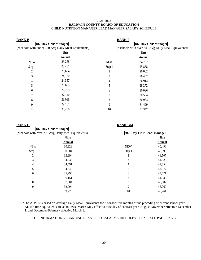#### 2021-2022 **BALDWIN COUNTY BOARD OF EDUCATION** CHILD NUTRITION MANAGER/LEAD MANAGER SALARY SCHEDULE

| <b>RANKE</b>        |                                                      | <b>RANK F</b>       |                                                     |  |
|---------------------|------------------------------------------------------|---------------------|-----------------------------------------------------|--|
| 187-Day CNP Manager |                                                      | 187-Day CNP Manager |                                                     |  |
|                     | (*schools with under 350 Avg Daily Meal Equivalents) |                     | (*schools with over 349 Avg Daily Meal Equivalents) |  |
|                     | 8hrs                                                 |                     | 8hrs                                                |  |
|                     | Annual                                               |                     | Annual                                              |  |
| <b>NEW</b>          | 23,258                                               | <b>NEW</b>          | 24,762                                              |  |
| Step 1              | 23,481                                               | Step 1              | 25,838                                              |  |
| 2                   | 23,684                                               | 2                   | 26,062                                              |  |
| 3                   | 24,130                                               | 3                   | 26,487                                              |  |
| 4                   | 24,557                                               | 4                   | 26,914                                              |  |
| 5                   | 25,635                                               |                     | 28,272                                              |  |
| 6                   | 26,285                                               | 6                   | 30,086                                              |  |
| 7                   | 27,140                                               |                     | 30,534                                              |  |
| 8                   | 28,038                                               | 8                   | 30,983                                              |  |
| 9                   | 29,167                                               | 9                   | 31,429                                              |  |
| 10                  | 30,298                                               | 10                  | 32,347                                              |  |
|                     |                                                      |                     |                                                     |  |

| <u>RANK G</u> | <b>RANK GM</b>                                      |                |                           |  |
|---------------|-----------------------------------------------------|----------------|---------------------------|--|
|               | 187-Day CNP Manager                                 |                |                           |  |
|               | (*schools with over 700 Avg Daily Meal Equivalents) |                | 202- Day CNP Lead Manager |  |
|               | 8hrs                                                |                | 8hrs                      |  |
|               | <b>Annual</b>                                       |                | Annual                    |  |
| <b>NEW</b>    | 30,228                                              | <b>NEW</b>     | 40,490                    |  |
| Step 1        | 30,684                                              | Step 1         | 40,895                    |  |
| 2             | 32,294                                              | $\mathfrak{D}$ | 41,507                    |  |
| 3             | 34,033                                              | 3              | 41,923                    |  |
| 4             | 34,491                                              | 4              | 42,550                    |  |
| 5             | 34,840                                              | 5              | 42,977                    |  |
| 6             | 35,296                                              | 6              | 43,621                    |  |
| 7             | 36,151                                              | 7              | 44,939                    |  |
| 8             | 37,004                                              | 8              | 45,387                    |  |
| 9             | 38,094                                              | 9              | 46,069                    |  |
| 10            | 39,225                                              | 10             | 46,761                    |  |

\*The ADME is based on Average Daily Meal Equivalents for 3 consecutive months of the preceding or current school year. ADME time equivalents are as follows: March-May effective first day of contract year, August-November effective December 1, and December-February effective March 1.

FOR INFORMATION REGARDING CLASSIFIED SALARY SCHEDULES, PLEASE SEE PAGES 2 & 3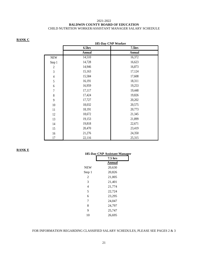#### 2021-2022 **BALDWIN COUNTY BOARD OF EDUCATION** CHILD NUTRITION WORKER/ASSISTANT MANAGER SALARY SCHEDULE

#### **RANK C**

|                  |        | 185-Day CNP Worker |  |
|------------------|--------|--------------------|--|
|                  | 6.5hrs | 7.5hrs             |  |
|                  | Annual | Annual             |  |
| <b>NEW</b>       | 14,510 | 16,372             |  |
| Step 1           | 14,728 | 16,623             |  |
| $\overline{2}$   | 14,946 | 16,873             |  |
| $\mathfrak{Z}$   | 15,163 | 17,124             |  |
| $\overline{4}$   | 15,584 | 17,608             |  |
| 5                | 16,191 | 18,311             |  |
| $\boldsymbol{6}$ | 16,959 | 19,253             |  |
| $\sqrt{ }$       | 17,117 | 19,448             |  |
| 8                | 17,424 | 19,826             |  |
| 9                | 17,727 | 20,202             |  |
| 10               | 18,032 | 20,575             |  |
| 11               | 18,191 | 20,773             |  |
| 12               | 18,672 | 21,345             |  |
| 13               | 19,153 | 21,899             |  |
| 14               | 19,818 | 22,671             |  |
| 15               | 20,470 | 23,419             |  |
| 16               | 21,276 | 24,350             |  |
| 17               | 22,116 | 25,315             |  |

#### **RANK E**

|            | 185-Day CNP Assistant Manager |
|------------|-------------------------------|
|            | $7.5$ hrs                     |
|            | Annual                        |
| <b>NEW</b> | 20,630                        |
| Step 1     | 20,826                        |
| 2          | 21,005                        |
| 3          | 21,401                        |
| 4          | 21,774                        |
| 5          | 22,724                        |
| 6          | 23,295                        |
| 7          | 24,047                        |
| 8          | 24,797                        |
| 9          | 25,747                        |
| 10         | 26,695                        |
|            |                               |

#### FOR INFORMATION REGARDING CLASSIFIED SALARY SCHEDULES, PLEASE SEE PAGES 2  $\&$  3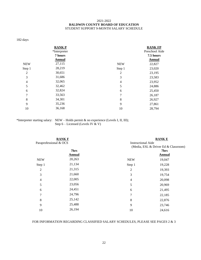#### 2021-2022 **BALDWIN COUNTY BOARD OF EDUCATION** STUDENT SUPPORT 9-MONTH SALARY SCHEDULE

182-days

| <b>RANKP</b><br>*Interpreter<br>7 hours |                          | <b>RANK FP</b><br>Preschool Aide<br>7.5 hours<br><b>Annual</b> |
|-----------------------------------------|--------------------------|----------------------------------------------------------------|
| 27,115                                  | <b>NEW</b>               | 22,827                                                         |
| 28,219                                  | Step 1                   | 23,020                                                         |
| 30,651                                  | 2                        | 23,195                                                         |
| 31,686                                  | 3                        | 23,583                                                         |
| 32,065                                  | $\overline{\mathcal{A}}$ | 23,952                                                         |
| 32,462                                  | 5                        | 24,886                                                         |
| 32,824                                  | 6                        | 25,450                                                         |
| 33,563                                  | 7                        | 26,187                                                         |
| 34,301                                  | 8                        | 26,927                                                         |
| 35,236                                  | 9                        | 27,861                                                         |
| 36,168                                  | 10                       | 28,794                                                         |
|                                         | <b>Annual</b>            |                                                                |

\*Interpreter starting salary: NEW – Holds permit & no experience (Levels I, II, III); Step  $6$  – Licensed (Levels IV & V)

| <b>RANK F</b><br>Paraprofessional & OCS |                       | <b>RANKE</b><br><b>Instructional Aide</b><br>(Media, ESL & Driver Ed & Classroom) |                       |  |
|-----------------------------------------|-----------------------|-----------------------------------------------------------------------------------|-----------------------|--|
|                                         | 7hrs<br><b>Annual</b> |                                                                                   | 7hrs<br><b>Annual</b> |  |
| <b>NEW</b>                              | 20,263                | <b>NEW</b>                                                                        | 19,047                |  |
| Step 1                                  | 21,134                | Step 1                                                                            | 19,228                |  |
| 2                                       | 21,315                | 2                                                                                 | 19,393                |  |
| 3                                       | 21,660                | 3                                                                                 | 19,754                |  |
| 4                                       | 22,005                | 4                                                                                 | 20,098                |  |
| 5                                       | 23,056                | 5                                                                                 | 20,969                |  |
| 6                                       | 24,451                | 6                                                                                 | 21,495                |  |
| 7                                       | 24,796                | 7                                                                                 | 22,185                |  |
| 8                                       | 25,142                | 8                                                                                 | 22,876                |  |
| 9                                       | 25,488                | 9                                                                                 | 23,746                |  |
| 10                                      | 26,194                | 10                                                                                | 24,616                |  |

#### FOR INFORMATION REGARDING CLASSIFIED SALARY SCHEDULES, PLEASE SEE PAGES 2 & 3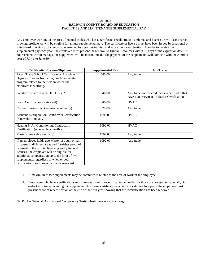#### 2021-2022 **BALDWIN COUNTY BOARD OF EDUCATION** FACILITIES AND MAINTENANCE SUPPLEMENTAL PAY

Any employee working in the area of manual trades who has a certificate, special trade's diploma, and license or two-year degree showing proficiency will be eligible for annual supplemental pay. The certificate or license must have been issued by a national or state board in which proficiency is determined by rigorous training and subsequent examination. In order to receive the supplemental pay each year, the employee must present the renewal to Human Resources within 60 days of the expiration date. If not received within 60 days, the supplement will be discontinued. The payment of the supplements will coincide with the contract year of July 1 to June 30.

| <b>Certification/License/Diploma</b>                                                                                                                                                                                                                                                                                                                  | <b>Supplemental Pay</b> | Job/Trade                                                                                  |
|-------------------------------------------------------------------------------------------------------------------------------------------------------------------------------------------------------------------------------------------------------------------------------------------------------------------------------------------------------|-------------------------|--------------------------------------------------------------------------------------------|
| 2 year Trade School Certificate or Associate<br>Degree in Trades from a regionally accredited<br>program related to the field in which the<br>employee is working.                                                                                                                                                                                    | 546.00                  | Any trade                                                                                  |
| Satisfactory scores on NOCTI Test *                                                                                                                                                                                                                                                                                                                   | 546.00                  | Any trade not covered under other trades that<br>have a Journeyman or Master Certification |
| Freon Certification (state card)                                                                                                                                                                                                                                                                                                                      | 546.00                  | <b>HVAC</b>                                                                                |
| Current Journeyman (renewable annually)                                                                                                                                                                                                                                                                                                               | 820.00                  | Any trade                                                                                  |
| Alabama Refrigeration Contractors Certification<br>(renewable annually)                                                                                                                                                                                                                                                                               | 1092.00                 | <b>HVAC</b>                                                                                |
| Heating & Air Conditioning Contractors<br>Certification (renewable annually)                                                                                                                                                                                                                                                                          | 1092.00                 | <b>HVAC</b>                                                                                |
| Master (renewable annually)                                                                                                                                                                                                                                                                                                                           | 1092.00                 | Any trade                                                                                  |
| If an employee holds two Master or Journeyman<br>Licenses in different areas and furnishes proof of<br>payment to the official licensing entity for said<br>licenses, the employee will be eligible for<br>additional compensation up to the limit of two<br>supplements, regardless of whether both<br>certifications are shown on one license card. | 1092.00                 | Any trade                                                                                  |

- 1. A maximum of two supplements may be combined if related to the area of work of the employee.
- 2. Employees who have certifications must present proof of recertification annually, for those that are granted annually, in order to continue receiving the supplement. For those certifications which are valid for five years, the employee must present proof of recertification at the end of the fifth year showing that the recertification has been renewed.

\*NOCTI – National Occupational Competency Testing Institute – www.nocti.org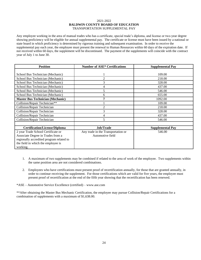#### 2021-2022 **BALDWIN COUNTY BOARD OF EDUCATION** TRANSPORTATION SUPPLEMENTAL PAY

Any employee working in the area of manual trades who has a certificate, special trade's diploma, and license or two-year degree showing proficiency will be eligible for annual supplemental pay. The certificate or license must have been issued by a national or state board in which proficiency is determined by rigorous training and subsequent examination. In order to receive the supplemental pay each year, the employee must present the renewal to Human Resources within 60 days of the expiration date. If not received within 60 days, the supplement will be discontinued. The payment of the supplements will coincide with the contract year of July 1 to June 30.

| <b>Position</b>                          | <b>Number of ASE* Certifications</b> | <b>Supplemental Pay</b> |
|------------------------------------------|--------------------------------------|-------------------------|
|                                          |                                      |                         |
| School Bus Technician (Mechanic)         |                                      | 109.00                  |
| School Bus Technician (Mechanic)         | $\mathfrak{D}$                       | 218.00                  |
| School Bus Technician (Mechanic)         | 3                                    | 328.00                  |
| School Bus Technician (Mechanic)         | 4                                    | 437.00                  |
| School Bus Technician (Mechanic)         | 5                                    | 546.00                  |
| School Bus Technician (Mechanic)         | 6                                    | 655.00                  |
| <b>Master Bus Technician (Mechanic)</b>  | 7                                    | 1092.00                 |
| Collision/Repair Technician**            |                                      | 109.00                  |
| Collision/Repair Technician              |                                      | 218.00                  |
| Collision/Repair Technician              | 3                                    | 328.00                  |
| Collision/Repair Technician              | 4                                    | 437.00                  |
| Collision/Repair Technician              | 5                                    | 546.00                  |
|                                          |                                      |                         |
| <b>Certification/License/Diploma</b>     | Job/Trade                            | <b>Supplemental Pay</b> |
| 2 year Trade School Certificate or       | Any trade in the Transportation or   | 546.00                  |
| Associate Degree in Trades from a        | Automotive field                     |                         |
| regionally accredited program related to |                                      |                         |
| the field in which the employee is       |                                      |                         |
| working.                                 |                                      |                         |

- 1. A maximum of two supplements may be combined if related to the area of work of the employee. Two supplements within the same position area are not considered combinations.
- 2. Employees who have certifications must present proof of recertification annually, for those that are granted annually, in order to continue receiving the supplement. For those certifications which are valid for five years, the employee must present proof of recertification at the end of the fifth year showing that the recertification has been renewed.

\*ASE – Automotive Service Excellence (certified) – www.ase.com

\*\*After obtaining the Master Bus Mechanic Certification, the employee may pursue Collision/Repair Certifications for a combination of supplements with a maximum of \$1,638.00.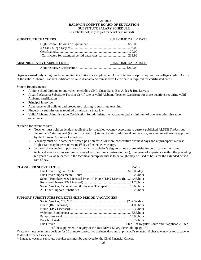#### 2021-2022

#### **BALDWIN COUNTY BOARD OF EDUCATION**

SUBSTITUTE SALARY SCHEDULE

(Substitutes will only be paid for actual days worked)

#### **SUBSTITUTE TEACHERS** FULL-TIME DAILY RATE

#### **ADMINISTRATIVE SUBSTITUTES** FULL-TIME DAILY RATE

Administrative Certification ...........................................................\$265.00

Degrees earned only at regionally accredited institutions are applicable. An official transcript is required for college credit. A copy of the valid Alabama Teacher Certificate or valid Alabama Administrative Certificate is required for certificated credit.

System Requirements:

- A high school diploma or equivalent excluding CNP, Custodians, Bus Aides & Bus Drivers
- A valid Alabama Substitute Teacher Certificate or valid Alabama Teacher Certificate for those positions requiring valid Alabama certification
- Principal interview
- Adherence to all policies and procedures relating to substitute teaching
- Fingerprint submission as required by Alabama State law
- Valid Alabama Administrative Certification for administrative vacancies and a minimum of one year administrative experience.

#### \*Criteria for extended rate:

- ➢ Teacher must hold credentials applicable for specified vacancy according to current published ALSDE *Subject and Personnel Codes* manual (i.e. certification, HQ status, training, additional coursework, etc), unless otherwise approved by the Human Resources Department.
- ➢ Vacancy must be in same certificated position for 20 or more consecutive business days and at principal's request. Higher rate may be retroactive to  $1<sup>st</sup>$  day of extended vacancy.
- $\triangleright$  In cases of vacancies in positions for which a bachelor's degree is not a prerequisite for certification (i.e. some technical areas such as welding, cosmetology, building construction, etc), five years of experience within the preceding ten years as a wage-earner in the technical enterprise that is to be taught may be used as basis for the extended period rate of pay.

#### **CLASSIFIED SUBSTITUTES** RATE

| ,,,,,,,,,,,,,,,,,                                                     |
|-----------------------------------------------------------------------|
|                                                                       |
|                                                                       |
| School Bookkeeper & Licensed Practical Nurse (LPN Licensed)14.46/hour |
|                                                                       |
| Social Worker, Occupational & Physical Therapist 15.66/hour           |
|                                                                       |
|                                                                       |

#### **SUPPORT SUBSTITUTES FOR EXTENDED PERIOD VACANCIES†**

of the supplement category of the Bus Driver Salary Schedule. (page 15)

**†**Vacancy must be in same position for 20 or more consecutive business days and at principal's request. Higher rate may be retroactive to 1<sup>st</sup> day of extended vacancy.

\*\*Extended vacancy substitute bookkeepers must be approved by the Chief Financial Officer.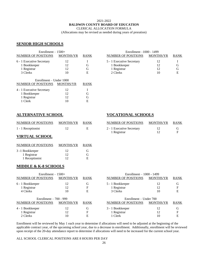#### 2021-2022

#### **BALDWIN COUNTY BOARD OF EDUCATION**

CLERICAL ALLOCATION FORMULA

(Allocations may be revised as needed during years of proration)

## **SENIOR HIGH SCHOOLS**

| Enrollment $-1500+$       |                  |             | Enrollment $-1000 - 1499$ |                  |             |
|---------------------------|------------------|-------------|---------------------------|------------------|-------------|
| NUMBER OF POSITIONS       | <b>MONTHS/YR</b> | <b>RANK</b> | NUMBER OF POSITIONS       | <b>MONTHS/YR</b> | <b>RANK</b> |
| 6 - 1 Executive Secretary | 12               |             | 5 - 1 Executive Secretary | 12               |             |
| 1 Bookkeeper              | 12               | G           | 1 Bookkeeper              | 12               | G           |
| 1 Registrar               | 12               | G           | 1 Registrar               | 12               | G           |
| 3 Clerks                  | 10               | E           | 2 Clerks                  | 10               | E           |
| Enrollment – Under 1000   |                  |             |                           |                  |             |
| NUMBER OF POSITIONS       | <b>MONTHS/YR</b> | <b>RANK</b> |                           |                  |             |
| 4 - 1 Executive Secretary | 12               |             |                           |                  |             |
| 1 Bookkeeper              | 12               | G           |                           |                  |             |
| 1 Registrar               | 12               | G           |                           |                  |             |
| 1 Clerk                   | 10               | E           |                           |                  |             |

| $Enrollment - 1500+$  |                  | Enrollment $-1000 - 1499$ |                           |                  |             |
|-----------------------|------------------|---------------------------|---------------------------|------------------|-------------|
| MBER OF POSITIONS     | <b>MONTHS/YR</b> | <b>RANK</b>               | NUMBER OF POSITIONS       | <b>MONTHS/YR</b> | <b>RANK</b> |
| 1 Executive Secretary |                  |                           | 5 - 1 Executive Secretary | 12               |             |
| 1 Bookkeeper          |                  | G                         | 1 Bookkeeper              | 12               | G           |
| 1 Registrar           |                  | G                         | 1 Registrar               | 12               | G           |
| 3 Clerks              | 10               | Е                         | 2 Clerks                  | 10               | Е           |

#### **ALTERNATIVE SCHOOL VOCATIONAL SCHOOLS**

| NUMBER OF POSITIONS | <b>MONTHS/YR</b> | <b>RANK</b> | NUMBER OF POSITIONS       | <b>MONTHS/YR</b> | <b>RANK</b> |
|---------------------|------------------|-------------|---------------------------|------------------|-------------|
| 1 - 1 Receptionist  |                  |             | 2 - 1 Executive Secretary |                  |             |

## **VIRTUAL SCHOOL**

| NUMBER OF POSITIONS | <b>MONTHS/YR</b> | <b>RANK</b> |
|---------------------|------------------|-------------|
| 3 -1 Bookkeeper     | 12               | G           |
| 1 Registrar         | 12               | G           |
| 1 Receptionist      | 12               | E           |

#### **MIDDLE & K-8 SCHOOLS**

| Enrollment $-1500+$        |                  |             | Enrollment $-1000 - 1499$  |                  |             |  |
|----------------------------|------------------|-------------|----------------------------|------------------|-------------|--|
| <b>NUMBER OF POSITIONS</b> | <b>MONTHS/YR</b> | <b>RANK</b> | NUMBER OF POSITIONS        | <b>MONTHS/YR</b> | <b>RANK</b> |  |
| 6 - 1 Bookkeeper           | 12               | G           | 5 - 1 Bookkeeper           | 12               | G           |  |
| 1 Registrar                | 12               | F           | 1 Registrar                | 12               | F           |  |
| 4 Clerks                   | 10               | Е           | 3 Clerks                   | 10               | Е           |  |
| Enrollment $-700 - 999$    |                  |             | Enrollment – Under 700     |                  |             |  |
| <b>NUMBER OF POSITIONS</b> | <b>MONTHS/YR</b> | <b>RANK</b> | <b>NUMBER OF POSITIONS</b> | <b>MONTHS/YR</b> | <b>RANK</b> |  |
| 4 - 1 Bookkeeper           | 12               | G           | 3 - 1 Bookkeeper           | 12               | G           |  |
| 1 Registrar                | 12               | F           | 1 Registrar                | 12               | F           |  |
| 2 Clerks                   | 10               | Е           | 1 Clerk                    | 10               | Е           |  |

Enrollment will be reviewed by May 1 each year to determine if allocations will need to be adjusted at the beginning of the applicable contract year, of the upcoming school year, due to a decrease in enrollment. Additionally, enrollment will be reviewed upon receipt of the 20-day attendance report to determine if allocations will need to be increased for the current school year.

| NUMBER OF POSITIONS | MONTHS/YR | <b>RANK</b> | NUMBER OF POSITIONS       | MONTHS/YR RANK |  |
|---------------------|-----------|-------------|---------------------------|----------------|--|
| 1 - 1 Receptionist  |           |             | 2 - 1 Executive Secretary |                |  |
|                     |           |             | l Registrar               |                |  |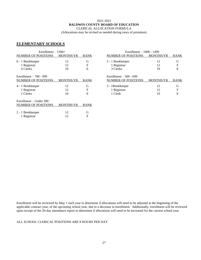#### 2021-2022 **BALDWIN COUNTY BOARD OF EDUCATION**

CLERICAL ALLOCATION FORMULA

(Allocations may be revised as needed during years of proration)

1000 - 1499

## **ELEMENTARY SCHOOLS**

| $Enrollment - 1500+$    |                  |             | Enrollment $-1000 - 1499$  |                  |             |  |
|-------------------------|------------------|-------------|----------------------------|------------------|-------------|--|
| NUMBER OF POSITIONS     | <b>MONTHS/YR</b> | <b>RANK</b> | <b>NUMBER OF POSITIONS</b> | <b>MONTHS/YR</b> | <b>RANK</b> |  |
| 6 - 1 Bookkeeper        | 12               | G           | 5 - 1 Bookkeeper           | 12               | G           |  |
| 1 Registrar             | 12               | F           | 1 Registrar                | 12               | F           |  |
| 4 Clerks                | 10               | E           | 3 Clerks                   | 10               | E           |  |
| Enrollment $-700 - 999$ |                  |             | Enrollment $-300 - 699$    |                  |             |  |
| NUMBER OF POSITIONS     | <b>MONTHS/YR</b> | <b>RANK</b> | <b>NUMBER OF POSITIONS</b> | <b>MONTHS/YR</b> | <b>RANK</b> |  |
| 4 - 1 Bookkeeper        | 12               | G           | 3 - 1Bookkeeper            | 12               | G           |  |
| 1 Registrar             | 12               | F           | 1 Registrar                | 12               | F           |  |
| 2 Clerks                | 10               | E           | 1 Clerk                    | 10               | E           |  |
| Enrollment – Under 300  |                  |             |                            |                  |             |  |
| NUMBER OF POSITIONS     | <b>MONTHS/YR</b> | <b>RANK</b> |                            |                  |             |  |
| 2 - 1 Bookkeeper        | 12               | G           |                            |                  |             |  |
| 1 Registrar             | 12               | F           |                            |                  |             |  |

Enrollment will be reviewed by May 1 each year to determine if allocations will need to be adjusted at the beginning of the applicable contract year, of the upcoming school year, due to a decrease in enrollment. Additionally, enrollment will be reviewed upon receipt of the 20-day attendance report to determine if allocations will need to be increased for the current school year.

#### ALL SCHOOL CLERICAL POSITIONS ARE 8 HOURS PER DAY